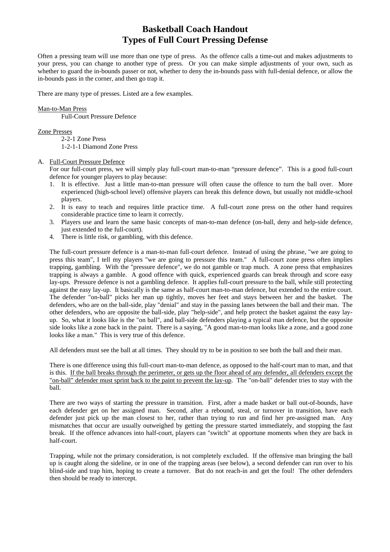Often a pressing team will use more than one type of press. As the offence calls a time-out and makes adjustments to your press, you can change to another type of press. Or you can make simple adjustments of your own, such as whether to guard the in-bounds passer or not, whether to deny the in-bounds pass with full-denial defence, or allow the in-bounds pass in the corner, and then go trap it.

There are many type of presses. Listed are a few examples.

### Man-to-Man Press

Full-Court Pressure Defence

### Zone Presses

2-2-1 Zone Press

1-2-1-1 Diamond Zone Press

#### A. Full-Court Pressure Defence

For our full-court press, we will simply play full-court man-to-man "pressure defence". This is a good full-court defence for younger players to play because:

- 1. It is effective. Just a little man-to-man pressure will often cause the offence to turn the ball over. More experienced (high-school level) offensive players can break this defence down, but usually not middle-school players.
- 2. It is easy to teach and requires little practice time. A full-court zone press on the other hand requires considerable practice time to learn it correctly.
- 3. Players use and learn the same basic concepts of man-to-man defence (on-ball, deny and help-side defence, just extended to the full-court).
- 4. There is little risk, or gambling, with this defence.

The full-court pressure defence is a man-to-man full-court defence. Instead of using the phrase, "we are going to press this team", I tell my players "we are going to pressure this team." A full-court zone press often implies trapping, gambling. With the "pressure defence", we do not gamble or trap much. A zone press that emphasizes trapping is always a gamble. A good offence with quick, experienced guards can break through and score easy lay-ups. Pressure defence is not a gambling defence. It applies full-court pressure to the ball, while still protecting against the easy lay-up. It basically is the same as half-court man-to-man defence, but extended to the entire court. The defender "on-ball" picks her man up tightly, moves her feet and stays between her and the basket. The defenders, who are on the ball-side, play "denial" and stay in the passing lanes between the ball and their man. The other defenders, who are opposite the ball-side, play "help-side", and help protect the basket against the easy layup. So, what it looks like is the "on ball", and ball-side defenders playing a typical man defence, but the opposite side looks like a zone back in the paint. There is a saying, "A good man-to-man looks like a zone, and a good zone looks like a man." This is very true of this defence.

All defenders must see the ball at all times. They should try to be in position to see both the ball and their man.

There is one difference using this full-court man-to-man defence, as opposed to the half-court man to man, and that is this. If the ball breaks through the perimeter, or gets up the floor ahead of any defender, all defenders except the "on-ball" defender must sprint back to the paint to prevent the lay-up. The "on-ball" defender tries to stay with the ball.

There are two ways of starting the pressure in transition. First, after a made basket or ball out-of-bounds, have each defender get on her assigned man. Second, after a rebound, steal, or turnover in transition, have each defender just pick up the man closest to her, rather than trying to run and find her pre-assigned man. Any mismatches that occur are usually outweighed by getting the pressure started immediately, and stopping the fast break. If the offence advances into half-court, players can "switch" at opportune moments when they are back in half-court.

Trapping, while not the primary consideration, is not completely excluded. If the offensive man bringing the ball up is caught along the sideline, or in one of the trapping areas (see below), a second defender can run over to his blind-side and trap him, hoping to create a turnover. But do not reach-in and get the foul! The other defenders then should be ready to intercept.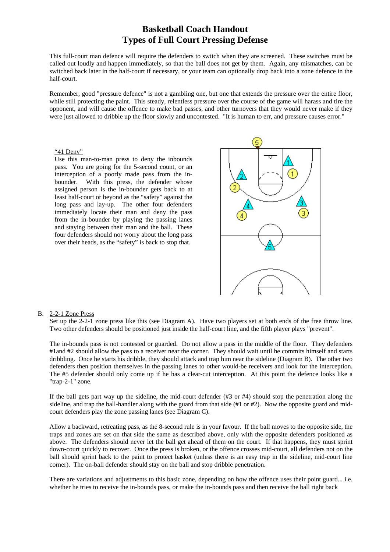This full-court man defence will require the defenders to switch when they are screened. These switches must be called out loudly and happen immediately, so that the ball does not get by them. Again, any mismatches, can be switched back later in the half-court if necessary, or your team can optionally drop back into a zone defence in the half-court.

Remember, good "pressure defence" is not a gambling one, but one that extends the pressure over the entire floor, while still protecting the paint. This steady, relentless pressure over the course of the game will harass and tire the opponent, and will cause the offence to make bad passes, and other turnovers that they would never make if they were just allowed to dribble up the floor slowly and uncontested. "It is human to err, and pressure causes error."

#### "41 Deny"

Use this man-to-man press to deny the inbounds pass. You are going for the 5-second count, or an interception of a poorly made pass from the inbounder. With this press, the defender whose assigned person is the in-bounder gets back to at least half-court or beyond as the "safety" against the long pass and lay-up. The other four defenders immediately locate their man and deny the pass from the in-bounder by playing the passing lanes and staying between their man and the ball. These four defenders should not worry about the long pass over their heads, as the "safety" is back to stop that.



#### B. 2-2-1 Zone Press

Set up the 2-2-1 zone press like this (see Diagram A). Have two players set at both ends of the free throw line. Two other defenders should be positioned just inside the half-court line, and the fifth player plays "prevent".

The in-bounds pass is not contested or guarded. Do not allow a pass in the middle of the floor. They defenders #1 and #2 should allow the pass to a receiver near the corner. They should wait until he commits himself and starts dribbling. Once he starts his dribble, they should attack and trap him near the sideline (Diagram B). The other two defenders then position themselves in the passing lanes to other would-be receivers and look for the interception. The #5 defender should only come up if he has a clear-cut interception. At this point the defence looks like a "trap-2-1" zone.

If the ball gets part way up the sideline, the mid-court defender (#3 or #4) should stop the penetration along the sideline, and trap the ball-handler along with the guard from that side (#1 or #2). Now the opposite guard and midcourt defenders play the zone passing lanes (see Diagram C).

Allow a backward, retreating pass, as the 8-second rule is in your favour. If the ball moves to the opposite side, the traps and zones are set on that side the same as described above, only with the opposite defenders positioned as above. The defenders should never let the ball get ahead of them on the court. If that happens, they must sprint down-court quickly to recover. Once the press is broken, or the offence crosses mid-court, all defenders not on the ball should sprint back to the paint to protect basket (unless there is an easy trap in the sideline, mid-court line corner). The on-ball defender should stay on the ball and stop dribble penetration.

There are variations and adjustments to this basic zone, depending on how the offence uses their point guard... i.e. whether he tries to receive the in-bounds pass, or make the in-bounds pass and then receive the ball right back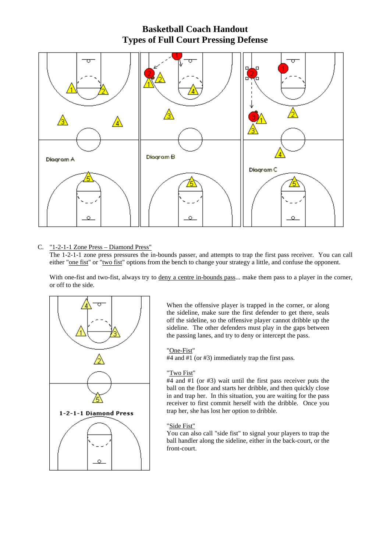

### C. "1-2-1-1 Zone Press – Diamond Press"

The 1-2-1-1 zone press pressures the in-bounds passer, and attempts to trap the first pass receiver. You can call either "one fist" or "two fist" options from the bench to change your strategy a little, and confuse the opponent.

With one-fist and two-fist, always try to deny a centre in-bounds pass... make them pass to a player in the corner, or off to the side.



When the offensive player is trapped in the corner, or along the sideline, make sure the first defender to get there, seals off the sideline, so the offensive player cannot dribble up the sideline. The other defenders must play in the gaps between the passing lanes, and try to deny or intercept the pass.

### "One-Fist"

#4 and #1 (or #3) immediately trap the first pass.

### "Two Fist"

#4 and #1 (or #3) wait until the first pass receiver puts the ball on the floor and starts her dribble, and then quickly close in and trap her. In this situation, you are waiting for the pass receiver to first commit herself with the dribble. Once you trap her, she has lost her option to dribble.

### "Side Fist"

You can also call "side fist" to signal your players to trap the ball handler along the sideline, either in the back-court, or the front-court.